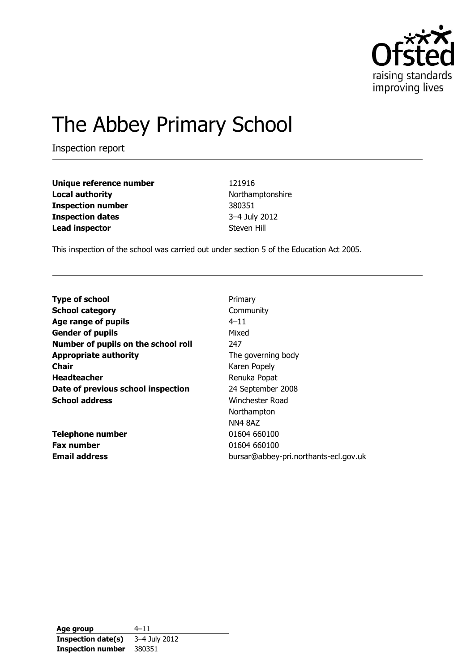

# The Abbey Primary School

Inspection report

| Unique reference number  | 121916           |
|--------------------------|------------------|
| <b>Local authority</b>   | Northamptonshire |
| <b>Inspection number</b> | 380351           |
| <b>Inspection dates</b>  | 3-4 July 2012    |
| <b>Lead inspector</b>    | Steven Hill      |

This inspection of the school was carried out under section 5 of the Education Act 2005.

| <b>Type of school</b>               | Primary                               |
|-------------------------------------|---------------------------------------|
| <b>School category</b>              | Community                             |
| Age range of pupils                 | $4 - 11$                              |
| <b>Gender of pupils</b>             | Mixed                                 |
| Number of pupils on the school roll | 247                                   |
| <b>Appropriate authority</b>        | The governing body                    |
| <b>Chair</b>                        | Karen Popely                          |
| <b>Headteacher</b>                  | Renuka Popat                          |
| Date of previous school inspection  | 24 September 2008                     |
| <b>School address</b>               | Winchester Road                       |
|                                     | Northampton                           |
|                                     | <b>NN4 8AZ</b>                        |
| <b>Telephone number</b>             | 01604 660100                          |
| <b>Fax number</b>                   | 01604 660100                          |
| <b>Email address</b>                | bursar@abbey-pri.northants-ecl.gov.uk |

**Age group** 4–11 **Inspection date(s)** 3–4 July 2012 **Inspection number** 380351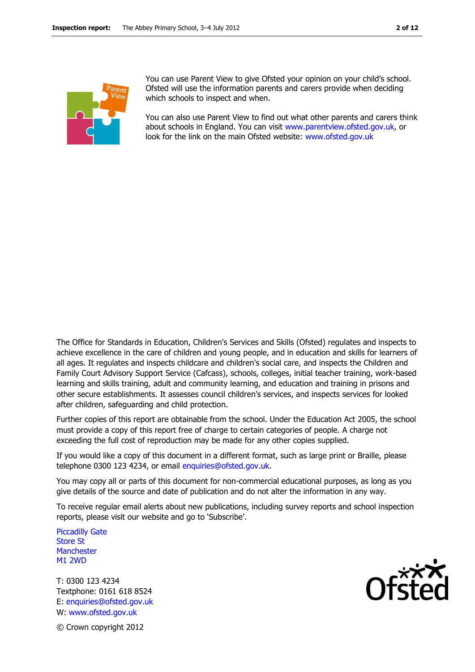

You can use Parent View to give Ofsted your opinion on your child's school. Ofsted will use the information parents and carers provide when deciding which schools to inspect and when.

You can also use Parent View to find out what other parents and carers think about schools in England. You can visit [www.parentview.ofsted.gov.uk,](http://www.parentview.ofsted.gov.uk/) or look for the link on the main Ofsted website: [www.ofsted.gov.uk](http://www.ofsted.gov.uk/)

The Office for Standards in Education, Children's Services and Skills (Ofsted) regulates and inspects to achieve excellence in the care of children and young people, and in education and skills for learners of all ages. It regulates and inspects childcare and children's social care, and inspects the Children and Family Court Advisory Support Service (Cafcass), schools, colleges, initial teacher training, work-based learning and skills training, adult and community learning, and education and training in prisons and other secure establishments. It assesses council children's services, and inspects services for looked after children, safeguarding and child protection.

Further copies of this report are obtainable from the school. Under the Education Act 2005, the school must provide a copy of this report free of charge to certain categories of people. A charge not exceeding the full cost of reproduction may be made for any other copies supplied.

If you would like a copy of this document in a different format, such as large print or Braille, please telephone 0300 123 4234, or email enquiries@ofsted.gov.uk.

You may copy all or parts of this document for non-commercial educational purposes, as long as you give details of the source and date of publication and do not alter the information in any way.

To receive regular email alerts about new publications, including survey reports and school inspection reports, please visit our website and go to 'Subscribe'.

Piccadilly Gate Store St **Manchester** M1 2WD

T: 0300 123 4234 Textphone: 0161 618 8524 E: enquiries@ofsted.gov.uk W: www.ofsted.gov.uk



© Crown copyright 2012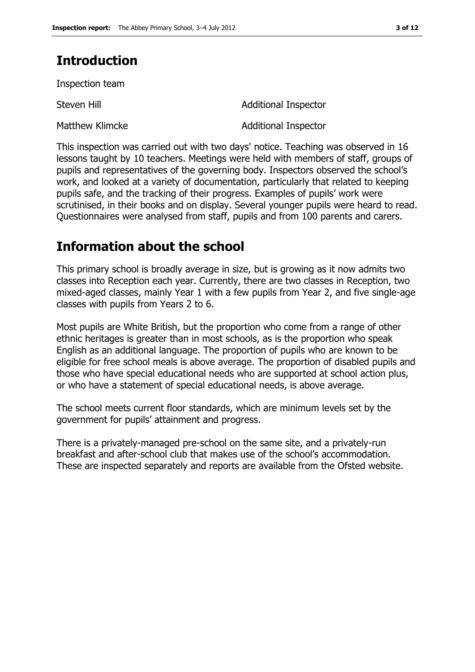# **Introduction**

Inspection team

Steven Hill **Steven Hill** Additional Inspector

Matthew Klimcke **Additional Inspector** 

This inspection was carried out with two days' notice. Teaching was observed in 16 lessons taught by 10 teachers. Meetings were held with members of staff, groups of pupils and representatives of the governing body. Inspectors observed the school's work, and looked at a variety of documentation, particularly that related to keeping pupils safe, and the tracking of their progress. Examples of pupils' work were scrutinised, in their books and on display. Several younger pupils were heard to read. Questionnaires were analysed from staff, pupils and from 100 parents and carers.

# **Information about the school**

This primary school is broadly average in size, but is growing as it now admits two classes into Reception each year. Currently, there are two classes in Reception, two mixed-aged classes, mainly Year 1 with a few pupils from Year 2, and five single-age classes with pupils from Years 2 to 6.

Most pupils are White British, but the proportion who come from a range of other ethnic heritages is greater than in most schools, as is the proportion who speak English as an additional language. The proportion of pupils who are known to be eligible for free school meals is above average. The proportion of disabled pupils and those who have special educational needs who are supported at school action plus, or who have a statement of special educational needs, is above average.

The school meets current floor standards, which are minimum levels set by the government for pupils' attainment and progress.

There is a privately-managed pre-school on the same site, and a privately-run breakfast and after-school club that makes use of the school's accommodation. These are inspected separately and reports are available from the Ofsted website.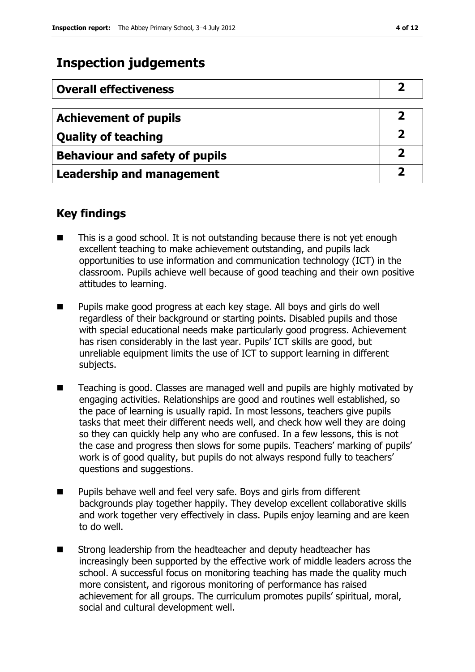## **Inspection judgements**

| <b>Overall effectiveness</b>          |   |
|---------------------------------------|---|
|                                       |   |
| <b>Achievement of pupils</b>          |   |
| <b>Quality of teaching</b>            |   |
| <b>Behaviour and safety of pupils</b> |   |
| <b>Leadership and management</b>      | כ |

### **Key findings**

- This is a good school. It is not outstanding because there is not yet enough excellent teaching to make achievement outstanding, and pupils lack opportunities to use information and communication technology (ICT) in the classroom. Pupils achieve well because of good teaching and their own positive attitudes to learning.
- Pupils make good progress at each key stage. All boys and girls do well regardless of their background or starting points. Disabled pupils and those with special educational needs make particularly good progress. Achievement has risen considerably in the last year. Pupils' ICT skills are good, but unreliable equipment limits the use of ICT to support learning in different subjects.
- Teaching is good. Classes are managed well and pupils are highly motivated by engaging activities. Relationships are good and routines well established, so the pace of learning is usually rapid. In most lessons, teachers give pupils tasks that meet their different needs well, and check how well they are doing so they can quickly help any who are confused. In a few lessons, this is not the case and progress then slows for some pupils. Teachers' marking of pupils' work is of good quality, but pupils do not always respond fully to teachers' questions and suggestions.
- Pupils behave well and feel very safe. Boys and girls from different backgrounds play together happily. They develop excellent collaborative skills and work together very effectively in class. Pupils enjoy learning and are keen to do well.
- Strong leadership from the headteacher and deputy headteacher has increasingly been supported by the effective work of middle leaders across the school. A successful focus on monitoring teaching has made the quality much more consistent, and rigorous monitoring of performance has raised achievement for all groups. The curriculum promotes pupils' spiritual, moral, social and cultural development well.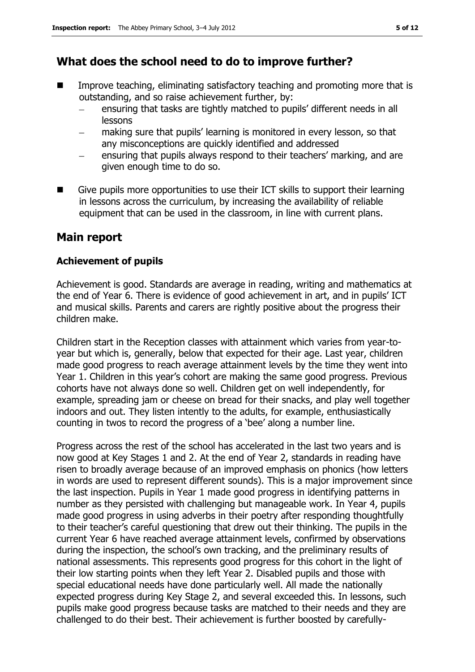### **What does the school need to do to improve further?**

- Improve teaching, eliminating satisfactory teaching and promoting more that is outstanding, and so raise achievement further, by:
	- ensuring that tasks are tightly matched to pupils' different needs in all  $\frac{1}{2}$ lessons
	- making sure that pupils' learning is monitored in every lesson, so that any misconceptions are quickly identified and addressed
	- ensuring that pupils always respond to their teachers' marking, and are given enough time to do so.
- Give pupils more opportunities to use their ICT skills to support their learning in lessons across the curriculum, by increasing the availability of reliable equipment that can be used in the classroom, in line with current plans.

### **Main report**

#### **Achievement of pupils**

Achievement is good. Standards are average in reading, writing and mathematics at the end of Year 6. There is evidence of good achievement in art, and in pupils' ICT and musical skills. Parents and carers are rightly positive about the progress their children make.

Children start in the Reception classes with attainment which varies from year-toyear but which is, generally, below that expected for their age. Last year, children made good progress to reach average attainment levels by the time they went into Year 1. Children in this year's cohort are making the same good progress. Previous cohorts have not always done so well. Children get on well independently, for example, spreading jam or cheese on bread for their snacks, and play well together indoors and out. They listen intently to the adults, for example, enthusiastically counting in twos to record the progress of a 'bee' along a number line.

Progress across the rest of the school has accelerated in the last two years and is now good at Key Stages 1 and 2. At the end of Year 2, standards in reading have risen to broadly average because of an improved emphasis on phonics (how letters in words are used to represent different sounds). This is a major improvement since the last inspection. Pupils in Year 1 made good progress in identifying patterns in number as they persisted with challenging but manageable work. In Year 4, pupils made good progress in using adverbs in their poetry after responding thoughtfully to their teacher's careful questioning that drew out their thinking. The pupils in the current Year 6 have reached average attainment levels, confirmed by observations during the inspection, the school's own tracking, and the preliminary results of national assessments. This represents good progress for this cohort in the light of their low starting points when they left Year 2. Disabled pupils and those with special educational needs have done particularly well. All made the nationally expected progress during Key Stage 2, and several exceeded this. In lessons, such pupils make good progress because tasks are matched to their needs and they are challenged to do their best. Their achievement is further boosted by carefully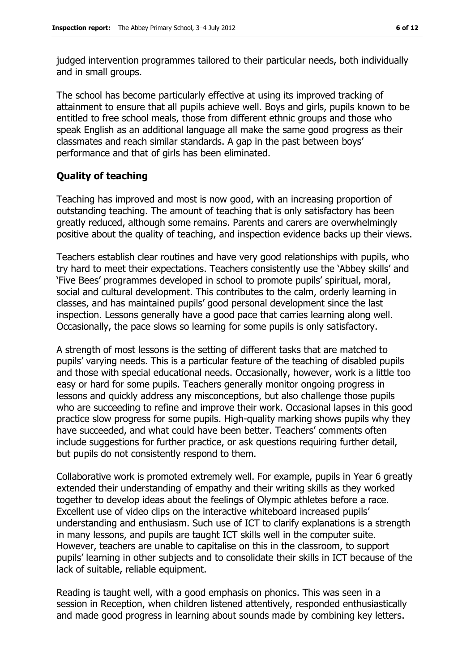judged intervention programmes tailored to their particular needs, both individually and in small groups.

The school has become particularly effective at using its improved tracking of attainment to ensure that all pupils achieve well. Boys and girls, pupils known to be entitled to free school meals, those from different ethnic groups and those who speak English as an additional language all make the same good progress as their classmates and reach similar standards. A gap in the past between boys' performance and that of girls has been eliminated.

#### **Quality of teaching**

Teaching has improved and most is now good, with an increasing proportion of outstanding teaching. The amount of teaching that is only satisfactory has been greatly reduced, although some remains. Parents and carers are overwhelmingly positive about the quality of teaching, and inspection evidence backs up their views.

Teachers establish clear routines and have very good relationships with pupils, who try hard to meet their expectations. Teachers consistently use the 'Abbey skills' and 'Five Bees' programmes developed in school to promote pupils' spiritual, moral, social and cultural development. This contributes to the calm, orderly learning in classes, and has maintained pupils' good personal development since the last inspection. Lessons generally have a good pace that carries learning along well. Occasionally, the pace slows so learning for some pupils is only satisfactory.

A strength of most lessons is the setting of different tasks that are matched to pupils' varying needs. This is a particular feature of the teaching of disabled pupils and those with special educational needs. Occasionally, however, work is a little too easy or hard for some pupils. Teachers generally monitor ongoing progress in lessons and quickly address any misconceptions, but also challenge those pupils who are succeeding to refine and improve their work. Occasional lapses in this good practice slow progress for some pupils. High-quality marking shows pupils why they have succeeded, and what could have been better. Teachers' comments often include suggestions for further practice, or ask questions requiring further detail, but pupils do not consistently respond to them.

Collaborative work is promoted extremely well. For example, pupils in Year 6 greatly extended their understanding of empathy and their writing skills as they worked together to develop ideas about the feelings of Olympic athletes before a race. Excellent use of video clips on the interactive whiteboard increased pupils' understanding and enthusiasm. Such use of ICT to clarify explanations is a strength in many lessons, and pupils are taught ICT skills well in the computer suite. However, teachers are unable to capitalise on this in the classroom, to support pupils' learning in other subjects and to consolidate their skills in ICT because of the lack of suitable, reliable equipment.

Reading is taught well, with a good emphasis on phonics. This was seen in a session in Reception, when children listened attentively, responded enthusiastically and made good progress in learning about sounds made by combining key letters.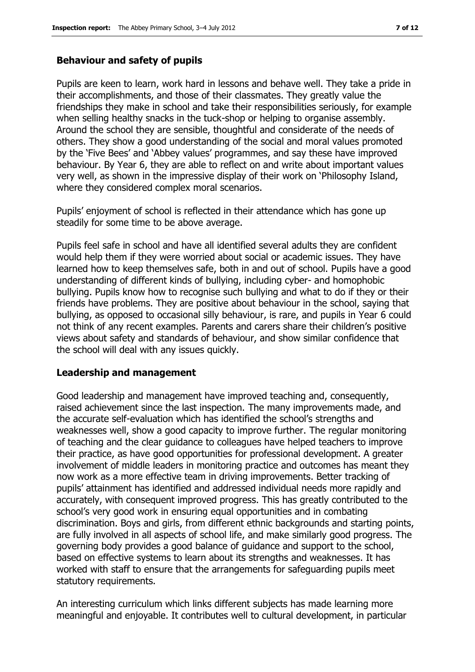#### **Behaviour and safety of pupils**

Pupils are keen to learn, work hard in lessons and behave well. They take a pride in their accomplishments, and those of their classmates. They greatly value the friendships they make in school and take their responsibilities seriously, for example when selling healthy snacks in the tuck-shop or helping to organise assembly. Around the school they are sensible, thoughtful and considerate of the needs of others. They show a good understanding of the social and moral values promoted by the 'Five Bees' and 'Abbey values' programmes, and say these have improved behaviour. By Year 6, they are able to reflect on and write about important values very well, as shown in the impressive display of their work on 'Philosophy Island, where they considered complex moral scenarios.

Pupils' enjoyment of school is reflected in their attendance which has gone up steadily for some time to be above average.

Pupils feel safe in school and have all identified several adults they are confident would help them if they were worried about social or academic issues. They have learned how to keep themselves safe, both in and out of school. Pupils have a good understanding of different kinds of bullying, including cyber- and homophobic bullying. Pupils know how to recognise such bullying and what to do if they or their friends have problems. They are positive about behaviour in the school, saying that bullying, as opposed to occasional silly behaviour, is rare, and pupils in Year 6 could not think of any recent examples. Parents and carers share their children's positive views about safety and standards of behaviour, and show similar confidence that the school will deal with any issues quickly.

#### **Leadership and management**

Good leadership and management have improved teaching and, consequently, raised achievement since the last inspection. The many improvements made, and the accurate self-evaluation which has identified the school's strengths and weaknesses well, show a good capacity to improve further. The regular monitoring of teaching and the clear guidance to colleagues have helped teachers to improve their practice, as have good opportunities for professional development. A greater involvement of middle leaders in monitoring practice and outcomes has meant they now work as a more effective team in driving improvements. Better tracking of pupils' attainment has identified and addressed individual needs more rapidly and accurately, with consequent improved progress. This has greatly contributed to the school's very good work in ensuring equal opportunities and in combating discrimination. Boys and girls, from different ethnic backgrounds and starting points, are fully involved in all aspects of school life, and make similarly good progress. The governing body provides a good balance of guidance and support to the school, based on effective systems to learn about its strengths and weaknesses. It has worked with staff to ensure that the arrangements for safeguarding pupils meet statutory requirements.

An interesting curriculum which links different subjects has made learning more meaningful and enjoyable. It contributes well to cultural development, in particular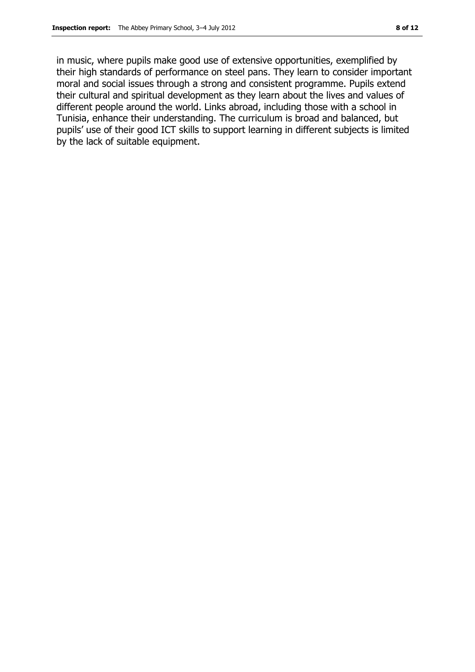in music, where pupils make good use of extensive opportunities, exemplified by their high standards of performance on steel pans. They learn to consider important moral and social issues through a strong and consistent programme. Pupils extend their cultural and spiritual development as they learn about the lives and values of different people around the world. Links abroad, including those with a school in Tunisia, enhance their understanding. The curriculum is broad and balanced, but pupils' use of their good ICT skills to support learning in different subjects is limited by the lack of suitable equipment.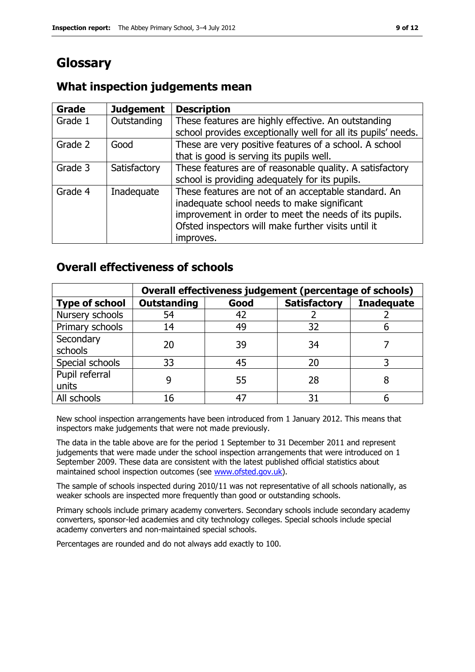# **Glossary**

#### **Grade Judgement Description** Grade  $1$  | Outstanding | These features are highly effective. An outstanding school provides exceptionally well for all its pupils' needs. Grade 2  $\Box$  Good These are very positive features of a school. A school that is good is serving its pupils well. Grade 3  $\parallel$  Satisfactory  $\parallel$  These features are of reasonable quality. A satisfactory school is providing adequately for its pupils. Grade 4 | Inadequate | These features are not of an acceptable standard. An inadequate school needs to make significant improvement in order to meet the needs of its pupils. Ofsted inspectors will make further visits until it improves.

### **What inspection judgements mean**

### **Overall effectiveness of schools**

|                         | Overall effectiveness judgement (percentage of schools) |      |                     |                   |
|-------------------------|---------------------------------------------------------|------|---------------------|-------------------|
| <b>Type of school</b>   | <b>Outstanding</b>                                      | Good | <b>Satisfactory</b> | <b>Inadequate</b> |
| Nursery schools         | 54                                                      | 42   |                     |                   |
| Primary schools         | 14                                                      | 49   | 32                  |                   |
| Secondary<br>schools    | 20                                                      | 39   | 34                  |                   |
| Special schools         | 33                                                      | 45   | 20                  |                   |
| Pupil referral<br>units | q                                                       | 55   | 28                  |                   |
| All schools             | 16                                                      | 47   | 31                  |                   |

New school inspection arrangements have been introduced from 1 January 2012. This means that inspectors make judgements that were not made previously.

The data in the table above are for the period 1 September to 31 December 2011 and represent judgements that were made under the school inspection arrangements that were introduced on 1 September 2009. These data are consistent with the latest published official statistics about maintained school inspection outcomes (see [www.ofsted.gov.uk\)](http://www.ofsted.gov.uk/).

The sample of schools inspected during 2010/11 was not representative of all schools nationally, as weaker schools are inspected more frequently than good or outstanding schools.

Primary schools include primary academy converters. Secondary schools include secondary academy converters, sponsor-led academies and city technology colleges. Special schools include special academy converters and non-maintained special schools.

Percentages are rounded and do not always add exactly to 100.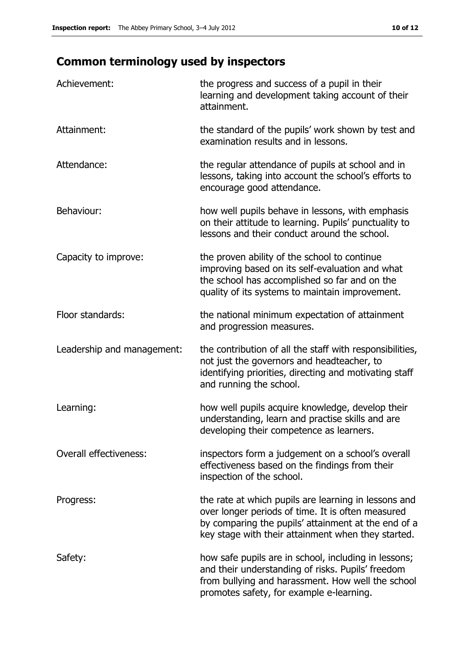# **Common terminology used by inspectors**

| Achievement:               | the progress and success of a pupil in their<br>learning and development taking account of their<br>attainment.                                                                                                        |
|----------------------------|------------------------------------------------------------------------------------------------------------------------------------------------------------------------------------------------------------------------|
| Attainment:                | the standard of the pupils' work shown by test and<br>examination results and in lessons.                                                                                                                              |
| Attendance:                | the regular attendance of pupils at school and in<br>lessons, taking into account the school's efforts to<br>encourage good attendance.                                                                                |
| Behaviour:                 | how well pupils behave in lessons, with emphasis<br>on their attitude to learning. Pupils' punctuality to<br>lessons and their conduct around the school.                                                              |
| Capacity to improve:       | the proven ability of the school to continue<br>improving based on its self-evaluation and what<br>the school has accomplished so far and on the<br>quality of its systems to maintain improvement.                    |
| Floor standards:           | the national minimum expectation of attainment<br>and progression measures.                                                                                                                                            |
| Leadership and management: | the contribution of all the staff with responsibilities,<br>not just the governors and headteacher, to<br>identifying priorities, directing and motivating staff<br>and running the school.                            |
| Learning:                  | how well pupils acquire knowledge, develop their<br>understanding, learn and practise skills and are<br>developing their competence as learners.                                                                       |
| Overall effectiveness:     | inspectors form a judgement on a school's overall<br>effectiveness based on the findings from their<br>inspection of the school.                                                                                       |
| Progress:                  | the rate at which pupils are learning in lessons and<br>over longer periods of time. It is often measured<br>by comparing the pupils' attainment at the end of a<br>key stage with their attainment when they started. |
| Safety:                    | how safe pupils are in school, including in lessons;<br>and their understanding of risks. Pupils' freedom<br>from bullying and harassment. How well the school<br>promotes safety, for example e-learning.             |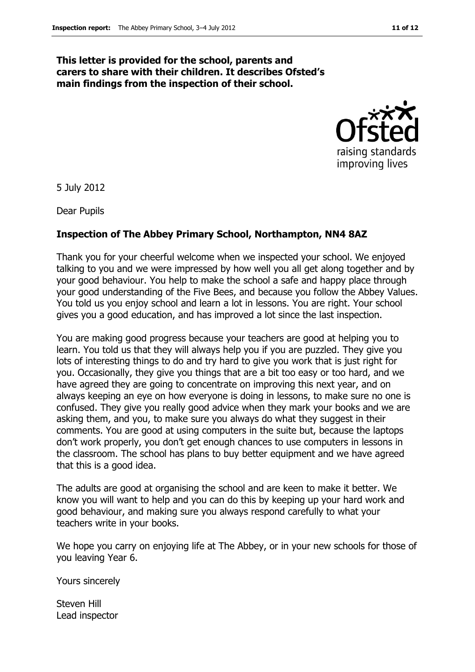#### **This letter is provided for the school, parents and carers to share with their children. It describes Ofsted's main findings from the inspection of their school.**



5 July 2012

Dear Pupils

#### **Inspection of The Abbey Primary School, Northampton, NN4 8AZ**

Thank you for your cheerful welcome when we inspected your school. We enjoyed talking to you and we were impressed by how well you all get along together and by your good behaviour. You help to make the school a safe and happy place through your good understanding of the Five Bees, and because you follow the Abbey Values. You told us you enjoy school and learn a lot in lessons. You are right. Your school gives you a good education, and has improved a lot since the last inspection.

You are making good progress because your teachers are good at helping you to learn. You told us that they will always help you if you are puzzled. They give you lots of interesting things to do and try hard to give you work that is just right for you. Occasionally, they give you things that are a bit too easy or too hard, and we have agreed they are going to concentrate on improving this next year, and on always keeping an eye on how everyone is doing in lessons, to make sure no one is confused. They give you really good advice when they mark your books and we are asking them, and you, to make sure you always do what they suggest in their comments. You are good at using computers in the suite but, because the laptops don't work properly, you don't get enough chances to use computers in lessons in the classroom. The school has plans to buy better equipment and we have agreed that this is a good idea.

The adults are good at organising the school and are keen to make it better. We know you will want to help and you can do this by keeping up your hard work and good behaviour, and making sure you always respond carefully to what your teachers write in your books.

We hope you carry on enjoying life at The Abbey, or in your new schools for those of you leaving Year 6.

Yours sincerely

Steven Hill Lead inspector